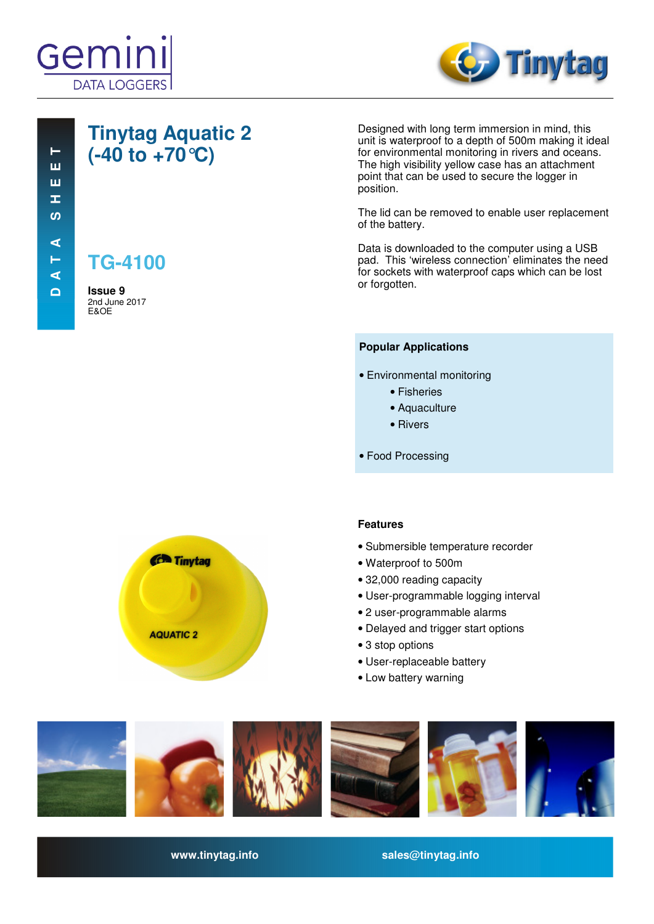



### **Tinytag Aquatic 2 (-40 to +70°C)**

**TG-4100**

**Issue 9**  2nd June 2017 E&OE

Designed with long term immersion in mind, this unit is waterproof to a depth of 500m making it ideal for environmental monitoring in rivers and oceans. The high visibility yellow case has an attachment point that can be used to secure the logger in position.

The lid can be removed to enable user replacement of the battery.

Data is downloaded to the computer using a USB pad. This 'wireless connection' eliminates the need for sockets with waterproof caps which can be lost or forgotten.

#### **Popular Applications**

- Environmental monitoring
	- Fisheries
	- Aquaculture
	- Rivers
- Food Processing



#### **Features**

- Submersible temperature recorder
- Waterproof to 500m
- 32,000 reading capacity
- User-programmable logging interval
- 2 user-programmable alarms
- Delayed and trigger start options
- 3 stop options
- User-replaceable battery
- Low battery warning



**www.tinytag.info sales@tinytag.info**